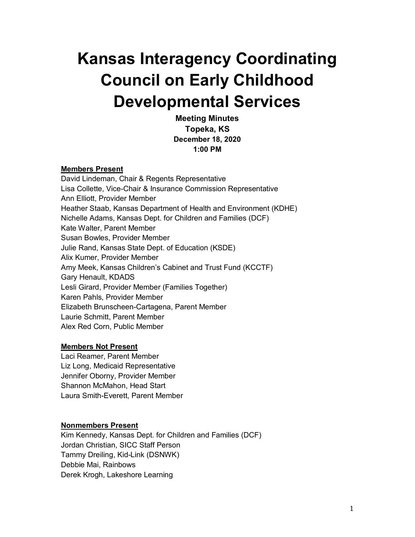# **Kansas Interagency Coordinating Council on Early Childhood Developmental Services**

**Meeting Minutes Topeka, KS December 18, 2020 1:00 PM**

#### **Members Present**

David Lindeman, Chair & Regents Representative Lisa Collette, Vice-Chair & Insurance Commission Representative Ann Elliott, Provider Member Heather Staab, Kansas Department of Health and Environment (KDHE) Nichelle Adams, Kansas Dept. for Children and Families (DCF) Kate Walter, Parent Member Susan Bowles, Provider Member Julie Rand, Kansas State Dept. of Education (KSDE) Alix Kumer, Provider Member Amy Meek, Kansas Children's Cabinet and Trust Fund (KCCTF) Gary Henault, KDADS Lesli Girard, Provider Member (Families Together) Karen Pahls, Provider Member Elizabeth Brunscheen-Cartagena, Parent Member Laurie Schmitt, Parent Member Alex Red Corn, Public Member

## **Members Not Present**

Laci Reamer, Parent Member Liz Long, Medicaid Representative Jennifer Oborny, Provider Member Shannon McMahon, Head Start Laura Smith-Everett, Parent Member

## **Nonmembers Present**

Kim Kennedy, Kansas Dept. for Children and Families (DCF) Jordan Christian, SICC Staff Person Tammy Dreiling, Kid-Link (DSNWK) Debbie Mai, Rainbows Derek Krogh, Lakeshore Learning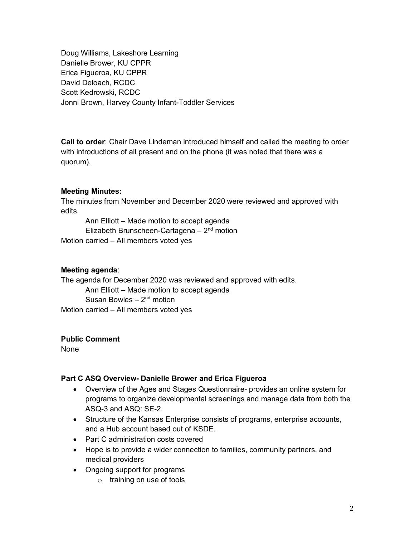Doug Williams, Lakeshore Learning Danielle Brower, KU CPPR Erica Figueroa, KU CPPR David Deloach, RCDC Scott Kedrowski, RCDC Jonni Brown, Harvey County Infant-Toddler Services

**Call to order**: Chair Dave Lindeman introduced himself and called the meeting to order with introductions of all present and on the phone (it was noted that there was a quorum).

## **Meeting Minutes:**

The minutes from November and December 2020 were reviewed and approved with edits.

Ann Elliott – Made motion to accept agenda Elizabeth Brunscheen-Cartagena  $-2<sup>nd</sup>$  motion Motion carried – All members voted yes

## **Meeting agenda**:

The agenda for December 2020 was reviewed and approved with edits. Ann Elliott – Made motion to accept agenda Susan Bowles  $-2<sup>nd</sup>$  motion Motion carried – All members voted yes

### **Public Comment**

None

## **Part C ASQ Overview- Danielle Brower and Erica Figueroa**

- Overview of the Ages and Stages Questionnaire- provides an online system for programs to organize developmental screenings and manage data from both the ASQ-3 and ASQ: SE-2.
- Structure of the Kansas Enterprise consists of programs, enterprise accounts, and a Hub account based out of KSDE.
- Part C administration costs covered
- Hope is to provide a wider connection to families, community partners, and medical providers
- Ongoing support for programs
	- o training on use of tools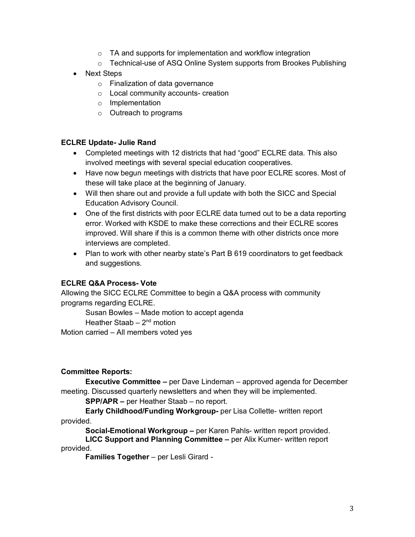- $\circ$  TA and supports for implementation and workflow integration
- o Technical-use of ASQ Online System supports from Brookes Publishing
- Next Steps
	- o Finalization of data governance
	- o Local community accounts- creation
	- o Implementation
	- o Outreach to programs

## **ECLRE Update- Julie Rand**

- Completed meetings with 12 districts that had "good" ECLRE data. This also involved meetings with several special education cooperatives.
- Have now begun meetings with districts that have poor ECLRE scores. Most of these will take place at the beginning of January.
- Will then share out and provide a full update with both the SICC and Special Education Advisory Council.
- One of the first districts with poor ECLRE data turned out to be a data reporting error. Worked with KSDE to make these corrections and their ECLRE scores improved. Will share if this is a common theme with other districts once more interviews are completed.
- Plan to work with other nearby state's Part B 619 coordinators to get feedback and suggestions.

# **ECLRE Q&A Process- Vote**

Allowing the SICC ECLRE Committee to begin a Q&A process with community programs regarding ECLRE.

Susan Bowles – Made motion to accept agenda

Heather Staab  $-2<sup>nd</sup>$  motion

Motion carried – All members voted yes

## **Committee Reports:**

**Executive Committee –** per Dave Lindeman – approved agenda for December meeting. Discussed quarterly newsletters and when they will be implemented.

**SPP/APR –** per Heather Staab – no report.

**Early Childhood/Funding Workgroup-** per Lisa Collette- written report provided.

**Social-Emotional Workgroup –** per Karen Pahls- written report provided.

**LICC Support and Planning Committee –** per Alix Kumer- written report provided.

**Families Together** – per Lesli Girard -